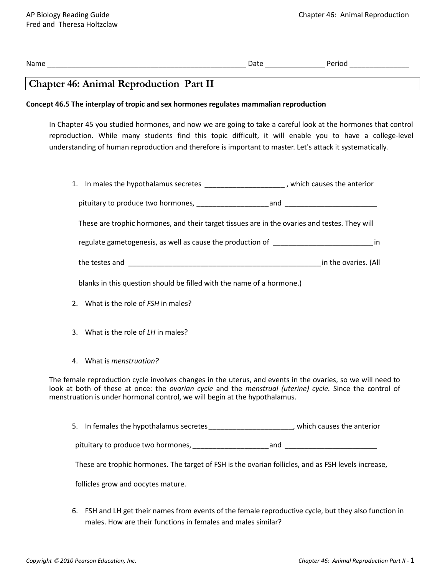| <b>Chapter 46: Animal Reproduction Part II</b>                                                                                                                                                                                                                                                                                       |  |  |
|--------------------------------------------------------------------------------------------------------------------------------------------------------------------------------------------------------------------------------------------------------------------------------------------------------------------------------------|--|--|
| Concept 46.5 The interplay of tropic and sex hormones regulates mammalian reproduction                                                                                                                                                                                                                                               |  |  |
| In Chapter 45 you studied hormones, and now we are going to take a careful look at the hormones that control<br>reproduction. While many students find this topic difficult, it will enable you to have a college-level<br>understanding of human reproduction and therefore is important to master. Let's attack it systematically. |  |  |
| 1. In males the hypothalamus secretes _____________________, which causes the anterior                                                                                                                                                                                                                                               |  |  |
|                                                                                                                                                                                                                                                                                                                                      |  |  |
| These are trophic hormones, and their target tissues are in the ovaries and testes. They will                                                                                                                                                                                                                                        |  |  |
| regulate gametogenesis, as well as cause the production of ______________________________in                                                                                                                                                                                                                                          |  |  |
|                                                                                                                                                                                                                                                                                                                                      |  |  |
| blanks in this question should be filled with the name of a hormone.)                                                                                                                                                                                                                                                                |  |  |
| 2. What is the role of FSH in males?                                                                                                                                                                                                                                                                                                 |  |  |
| 3. What is the role of LH in males?                                                                                                                                                                                                                                                                                                  |  |  |
| 4. What is menstruation?                                                                                                                                                                                                                                                                                                             |  |  |
| The female reproduction cycle involves changes in the uterus, and events in the ovaries, so we will need to<br>look at both of these at once: the ovarian cycle and the menstrual (uterine) cycle. Since the control of<br>menstruation is under hormonal control, we will begin at the hypothalamus.                                |  |  |
| 5. In females the hypothalamus secretes _______________________, which causes the anterior                                                                                                                                                                                                                                           |  |  |
|                                                                                                                                                                                                                                                                                                                                      |  |  |
| These are trophic hormones. The target of FSH is the ovarian follicles, and as FSH levels increase,                                                                                                                                                                                                                                  |  |  |
| follicles grow and oocytes mature.                                                                                                                                                                                                                                                                                                   |  |  |

6. FSH and LH get their names from events of the female reproductive cycle, but they also function in males. How are their functions in females and males similar?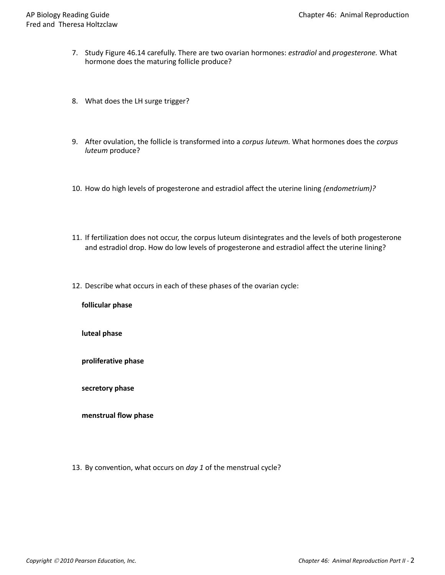- 7. Study Figure 46.14 carefully. There are two ovarian hormones: *estradiol* and *progesterone.* What hormone does the maturing follicle produce?
- 8. What does the LH surge trigger?
- 9. After ovulation, the follicle is transformed into a *corpus luteum.* What hormones does the *corpus luteum* produce?
- 10. How do high levels of progesterone and estradiol affect the uterine lining *(endometrium)?*
- 11. If fertilization does not occur, the corpus luteum disintegrates and the levels of both progesterone and estradiol drop. How do low levels of progesterone and estradiol affect the uterine lining?
- 12. Describe what occurs in each of these phases of the ovarian cycle:

**follicular phase** 

**luteal phase**

**proliferative phase** 

**secretory phase** 

**menstrual flow phase**

13. By convention, what occurs on *day 1* of the menstrual cycle?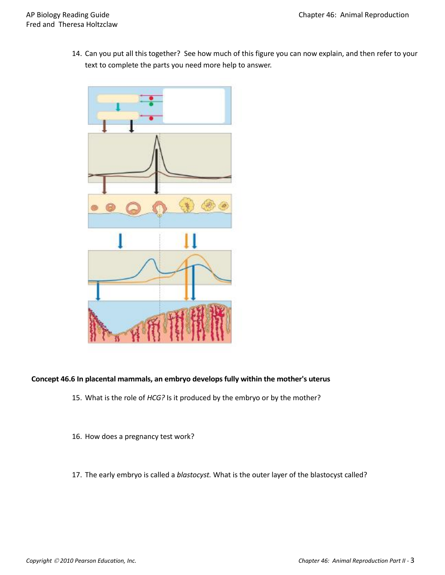14. Can you put all this together? See how much of this figure you can now explain, and then refer to your text to complete the parts you need more help to answer.



## **Concept 46.6 In placental mammals, an embryo develops fully within the mother's uterus**

- 15. What is the role of *HCG?* Is it produced by the embryo or by the mother?
- 16. How does a pregnancy test work?
- 17. The early embryo is called a *blastocyst.* What is the outer layer of the blastocyst called?